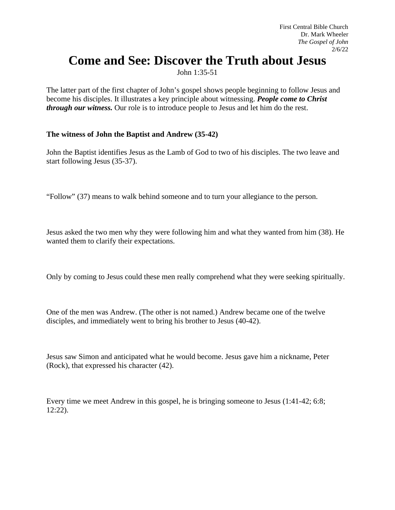## **Come and See: Discover the Truth about Jesus**

John 1:35-51

The latter part of the first chapter of John's gospel shows people beginning to follow Jesus and become his disciples. It illustrates a key principle about witnessing. *People come to Christ through our witness.* Our role is to introduce people to Jesus and let him do the rest.

## **The witness of John the Baptist and Andrew (35-42)**

John the Baptist identifies Jesus as the Lamb of God to two of his disciples. The two leave and start following Jesus (35-37).

"Follow" (37) means to walk behind someone and to turn your allegiance to the person.

Jesus asked the two men why they were following him and what they wanted from him (38). He wanted them to clarify their expectations.

Only by coming to Jesus could these men really comprehend what they were seeking spiritually.

One of the men was Andrew. (The other is not named.) Andrew became one of the twelve disciples, and immediately went to bring his brother to Jesus (40-42).

Jesus saw Simon and anticipated what he would become. Jesus gave him a nickname, Peter (Rock), that expressed his character (42).

Every time we meet Andrew in this gospel, he is bringing someone to Jesus (1:41-42; 6:8; 12:22).